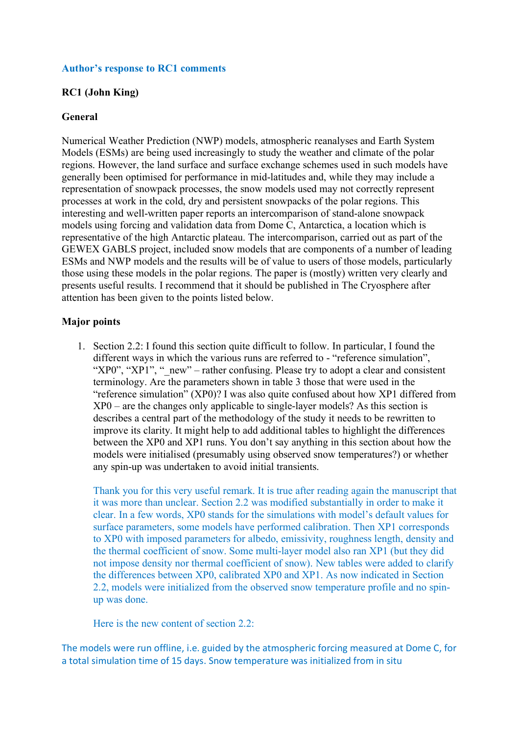### **Author's response to RC1 comments**

## **RC1 (John King)**

#### **General**

Numerical Weather Prediction (NWP) models, atmospheric reanalyses and Earth System Models (ESMs) are being used increasingly to study the weather and climate of the polar regions. However, the land surface and surface exchange schemes used in such models have generally been optimised for performance in mid-latitudes and, while they may include a representation of snowpack processes, the snow models used may not correctly represent processes at work in the cold, dry and persistent snowpacks of the polar regions. This interesting and well-written paper reports an intercomparison of stand-alone snowpack models using forcing and validation data from Dome C, Antarctica, a location which is representative of the high Antarctic plateau. The intercomparison, carried out as part of the GEWEX GABLS project, included snow models that are components of a number of leading ESMs and NWP models and the results will be of value to users of those models, particularly those using these models in the polar regions. The paper is (mostly) written very clearly and presents useful results. I recommend that it should be published in The Cryosphere after attention has been given to the points listed below.

### **Major points**

1. Section 2.2: I found this section quite difficult to follow. In particular, I found the different ways in which the various runs are referred to - "reference simulation", "XP0", "XP1", " new" – rather confusing. Please try to adopt a clear and consistent terminology. Are the parameters shown in table 3 those that were used in the "reference simulation" (XP0)? I was also quite confused about how XP1 differed from XP0 – are the changes only applicable to single-layer models? As this section is describes a central part of the methodology of the study it needs to be rewritten to improve its clarity. It might help to add additional tables to highlight the differences between the XP0 and XP1 runs. You don't say anything in this section about how the models were initialised (presumably using observed snow temperatures?) or whether any spin-up was undertaken to avoid initial transients.

Thank you for this very useful remark. It is true after reading again the manuscript that it was more than unclear. Section 2.2 was modified substantially in order to make it clear. In a few words, XP0 stands for the simulations with model's default values for surface parameters, some models have performed calibration. Then XP1 corresponds to XP0 with imposed parameters for albedo, emissivity, roughness length, density and the thermal coefficient of snow. Some multi-layer model also ran XP1 (but they did not impose density nor thermal coefficient of snow). New tables were added to clarify the differences between XP0, calibrated XP0 and XP1. As now indicated in Section 2.2, models were initialized from the observed snow temperature profile and no spinup was done.

Here is the new content of section 2.2:

The models were run offline, i.e. guided by the atmospheric forcing measured at Dome C, for a total simulation time of 15 days. Snow temperature was initialized from in situ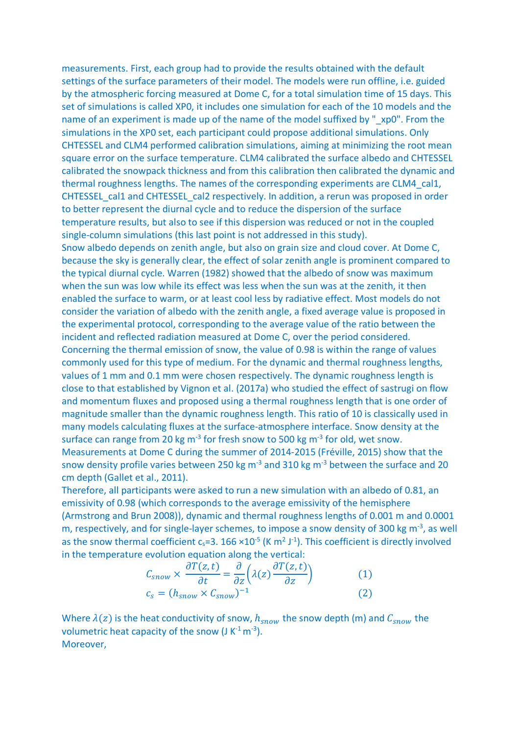measurements. First, each group had to provide the results obtained with the default settings of the surface parameters of their model. The models were run offline, i.e. guided by the atmospheric forcing measured at Dome C, for a total simulation time of 15 days. This set of simulations is called XP0, it includes one simulation for each of the 10 models and the name of an experiment is made up of the name of the model suffixed by "\_xp0". From the simulations in the XP0 set, each participant could propose additional simulations. Only CHTESSEL and CLM4 performed calibration simulations, aiming at minimizing the root mean square error on the surface temperature. CLM4 calibrated the surface albedo and CHTESSEL calibrated the snowpack thickness and from this calibration then calibrated the dynamic and thermal roughness lengths. The names of the corresponding experiments are CLM4\_cal1, CHTESSEL\_cal1 and CHTESSEL\_cal2 respectively. In addition, a rerun was proposed in order to better represent the diurnal cycle and to reduce the dispersion of the surface temperature results, but also to see if this dispersion was reduced or not in the coupled single-column simulations (this last point is not addressed in this study).

Snow albedo depends on zenith angle, but also on grain size and cloud cover. At Dome C, because the sky is generally clear, the effect of solar zenith angle is prominent compared to the typical diurnal cycle. Warren (1982) showed that the albedo of snow was maximum when the sun was low while its effect was less when the sun was at the zenith, it then enabled the surface to warm, or at least cool less by radiative effect. Most models do not consider the variation of albedo with the zenith angle, a fixed average value is proposed in the experimental protocol, corresponding to the average value of the ratio between the incident and reflected radiation measured at Dome C, over the period considered. Concerning the thermal emission of snow, the value of 0.98 is within the range of values commonly used for this type of medium. For the dynamic and thermal roughness lengths, values of 1 mm and 0.1 mm were chosen respectively. The dynamic roughness length is close to that established by Vignon et al. (2017a) who studied the effect of sastrugi on flow and momentum fluxes and proposed using a thermal roughness length that is one order of magnitude smaller than the dynamic roughness length. This ratio of 10 is classically used in many models calculating fluxes at the surface-atmosphere interface. Snow density at the surface can range from 20 kg  $m<sup>3</sup>$  for fresh snow to 500 kg  $m<sup>3</sup>$  for old, wet snow. Measurements at Dome C during the summer of 2014-2015 (Fréville, 2015) show that the snow density profile varies between 250 kg  $m<sup>-3</sup>$  and 310 kg  $m<sup>-3</sup>$  between the surface and 20 cm depth (Gallet et al., 2011).

Therefore, all participants were asked to run a new simulation with an albedo of 0.81, an emissivity of 0.98 (which corresponds to the average emissivity of the hemisphere (Armstrong and Brun 2008)), dynamic and thermal roughness lengths of 0.001 m and 0.0001 m, respectively, and for single-layer schemes, to impose a snow density of 300 kg m<sup>-3</sup>, as well as the snow thermal coefficient  $c_s = 3.166 \times 10^{-5}$  (K m<sup>2</sup> J<sup>-1</sup>). This coefficient is directly involved in the temperature evolution equation along the vertical:

$$
C_{snow} \times \frac{\partial T(z, t)}{\partial t} = \frac{\partial}{\partial z} \left( \lambda(z) \frac{\partial T(z, t)}{\partial z} \right)
$$
(1)  

$$
c_s = (h_{snow} \times C_{snow})^{-1}
$$
(2)

Where  $\lambda(z)$  is the heat conductivity of snow,  $h_{\text{grav}}$  the snow depth (m) and  $C_{\text{snow}}$  the volumetric heat capacity of the snow  $(J K^{-1} m^{-3})$ . Moreover,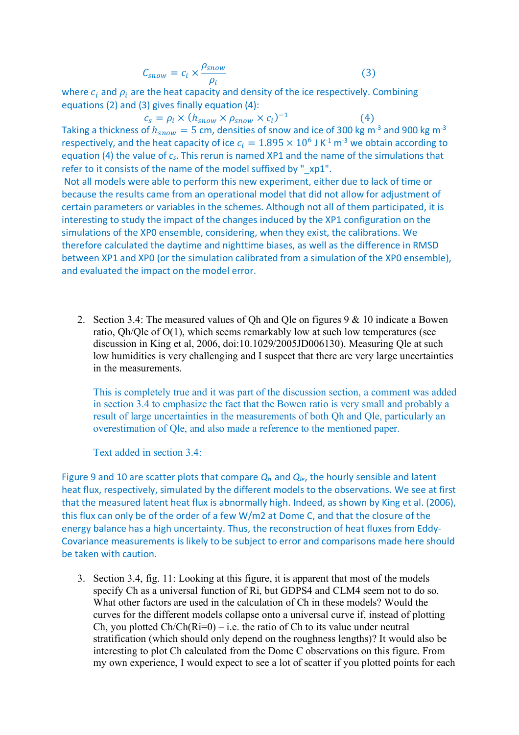$$
C_{snow} = c_i \times \frac{\rho_{snow}}{\rho_i}
$$
 (3)

where  $c_i$  and  $\rho_i$  are the heat capacity and density of the ice respectively. Combining equations (2) and (3) gives finally equation (4):

 $c_s = \rho_i \times (h_{snow} \times \rho_{snow} \times c_i)^{-1}$  (4) Taking a thickness of  $h_{snow} = 5$  cm, densities of snow and ice of 300 kg m<sup>-3</sup> and 900 kg m<sup>-3</sup> respectively, and the heat capacity of ice  $c_i = 1.895 \times 10^6$  J K<sup>-1</sup> m<sup>-3</sup> we obtain according to equation (4) the value of *cs*. This rerun is named XP1 and the name of the simulations that refer to it consists of the name of the model suffixed by " xp1".

Not all models were able to perform this new experiment, either due to lack of time or because the results came from an operational model that did not allow for adjustment of certain parameters or variables in the schemes. Although not all of them participated, it is interesting to study the impact of the changes induced by the XP1 configuration on the simulations of the XP0 ensemble, considering, when they exist, the calibrations. We therefore calculated the daytime and nighttime biases, as well as the difference in RMSD between XP1 and XP0 (or the simulation calibrated from a simulation of the XP0 ensemble), and evaluated the impact on the model error.

2. Section 3.4: The measured values of Qh and Qle on figures 9 & 10 indicate a Bowen ratio, Qh/Qle of O(1), which seems remarkably low at such low temperatures (see discussion in King et al, 2006, doi:10.1029/2005JD006130). Measuring Qle at such low humidities is very challenging and I suspect that there are very large uncertainties in the measurements.

This is completely true and it was part of the discussion section, a comment was added in section 3.4 to emphasize the fact that the Bowen ratio is very small and probably a result of large uncertainties in the measurements of both Qh and Qle, particularly an overestimation of Qle, and also made a reference to the mentioned paper.

Text added in section 3.4:

Figure 9 and 10 are scatter plots that compare *Qh* and *Qle*, the hourly sensible and latent heat flux, respectively, simulated by the different models to the observations. We see at first that the measured latent heat flux is abnormally high. Indeed, as shown by King et al. (2006), this flux can only be of the order of a few W/m2 at Dome C, and that the closure of the energy balance has a high uncertainty. Thus, the reconstruction of heat fluxes from Eddy-Covariance measurements is likely to be subject to error and comparisons made here should be taken with caution.

3. Section 3.4, fig. 11: Looking at this figure, it is apparent that most of the models specify Ch as a universal function of Ri, but GDPS4 and CLM4 seem not to do so. What other factors are used in the calculation of Ch in these models? Would the curves for the different models collapse onto a universal curve if, instead of plotting Ch, you plotted  $Ch/Ch(Ri=0) - i.e.$  the ratio of Ch to its value under neutral stratification (which should only depend on the roughness lengths)? It would also be interesting to plot Ch calculated from the Dome C observations on this figure. From my own experience, I would expect to see a lot of scatter if you plotted points for each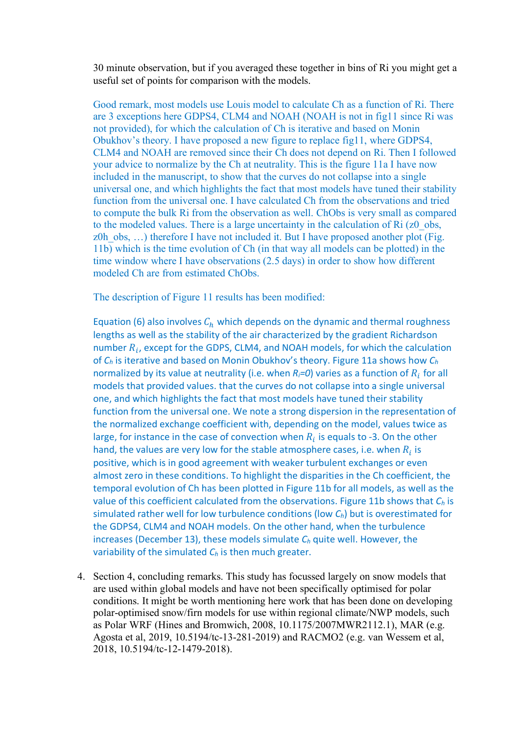30 minute observation, but if you averaged these together in bins of Ri you might get a useful set of points for comparison with the models.

Good remark, most models use Louis model to calculate Ch as a function of Ri. There are 3 exceptions here GDPS4, CLM4 and NOAH (NOAH is not in fig11 since Ri was not provided), for which the calculation of Ch is iterative and based on Monin Obukhov's theory. I have proposed a new figure to replace fig11, where GDPS4, CLM4 and NOAH are removed since their Ch does not depend on Ri. Then I followed your advice to normalize by the Ch at neutrality. This is the figure 11a I have now included in the manuscript, to show that the curves do not collapse into a single universal one, and which highlights the fact that most models have tuned their stability function from the universal one. I have calculated Ch from the observations and tried to compute the bulk Ri from the observation as well. ChObs is very small as compared to the modeled values. There is a large uncertainty in the calculation of Ri (z0\_obs, z0h obs, ...) therefore I have not included it. But I have proposed another plot (Fig. 11b) which is the time evolution of Ch (in that way all models can be plotted) in the time window where I have observations (2.5 days) in order to show how different modeled Ch are from estimated ChObs.

The description of Figure 11 results has been modified:

Equation (6) also involves  $C_h$  which depends on the dynamic and thermal roughness lengths as well as the stability of the air characterized by the gradient Richardson number  $R_i$ , except for the GDPS, CLM4, and NOAH models, for which the calculation of *Ch* is iterative and based on Monin Obukhov's theory. Figure 11a shows how *Ch* normalized by its value at neutrality (i.e. when  $R_i=0$ ) varies as a function of  $R_i$  for all models that provided values. that the curves do not collapse into a single universal one, and which highlights the fact that most models have tuned their stability function from the universal one. We note a strong dispersion in the representation of the normalized exchange coefficient with, depending on the model, values twice as large, for instance in the case of convection when  $R_i$  is equals to -3. On the other hand, the values are very low for the stable atmosphere cases, i.e. when  $R_i$  is positive, which is in good agreement with weaker turbulent exchanges or even almost zero in these conditions. To highlight the disparities in the Ch coefficient, the temporal evolution of Ch has been plotted in Figure 11b for all models, as well as the value of this coefficient calculated from the observations. Figure 11b shows that  $C_h$  is simulated rather well for low turbulence conditions (low *Ch*) but is overestimated for the GDPS4, CLM4 and NOAH models. On the other hand, when the turbulence increases (December 13), these models simulate  $C_h$  quite well. However, the variability of the simulated *Ch* is then much greater.

4. Section 4, concluding remarks. This study has focussed largely on snow models that are used within global models and have not been specifically optimised for polar conditions. It might be worth mentioning here work that has been done on developing polar-optimised snow/firn models for use within regional climate/NWP models, such as Polar WRF (Hines and Bromwich, 2008, 10.1175/2007MWR2112.1), MAR (e.g. Agosta et al, 2019, 10.5194/tc-13-281-2019) and RACMO2 (e.g. van Wessem et al, 2018, 10.5194/tc-12-1479-2018).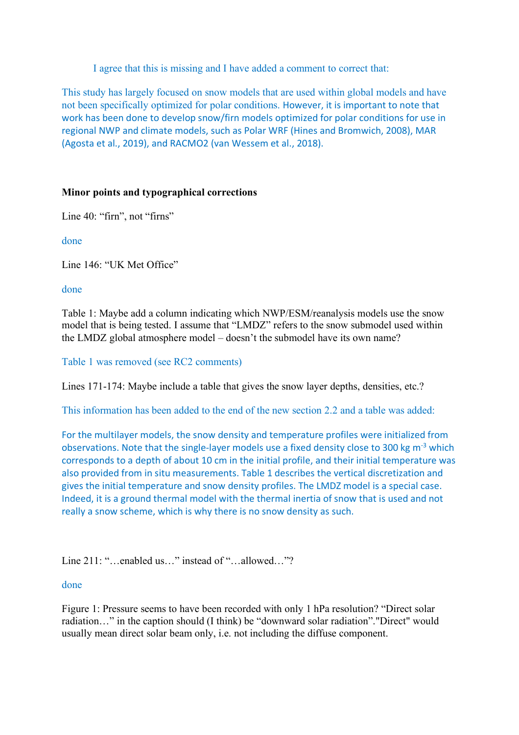I agree that this is missing and I have added a comment to correct that:

This study has largely focused on snow models that are used within global models and have not been specifically optimized for polar conditions. However, it is important to note that work has been done to develop snow/firn models optimized for polar conditions for use in regional NWP and climate models, such as Polar WRF (Hines and Bromwich, 2008), MAR (Agosta et al., 2019), and RACMO2 (van Wessem et al., 2018).

# **Minor points and typographical corrections**

Line 40: "firn", not "firns"

done

Line 146: "UK Met Office"

done

Table 1: Maybe add a column indicating which NWP/ESM/reanalysis models use the snow model that is being tested. I assume that "LMDZ" refers to the snow submodel used within the LMDZ global atmosphere model – doesn't the submodel have its own name?

Table 1 was removed (see RC2 comments)

Lines 171-174: Maybe include a table that gives the snow layer depths, densities, etc.?

This information has been added to the end of the new section 2.2 and a table was added:

For the multilayer models, the snow density and temperature profiles were initialized from observations. Note that the single-layer models use a fixed density close to 300 kg  $\text{m}^3$  which corresponds to a depth of about 10 cm in the initial profile, and their initial temperature was also provided from in situ measurements. Table 1 describes the vertical discretization and gives the initial temperature and snow density profiles. The LMDZ model is a special case. Indeed, it is a ground thermal model with the thermal inertia of snow that is used and not really a snow scheme, which is why there is no snow density as such.

Line 211: "…enabled us…" instead of "…allowed…"?

done

Figure 1: Pressure seems to have been recorded with only 1 hPa resolution? "Direct solar radiation…" in the caption should (I think) be "downward solar radiation"."Direct" would usually mean direct solar beam only, i.e. not including the diffuse component.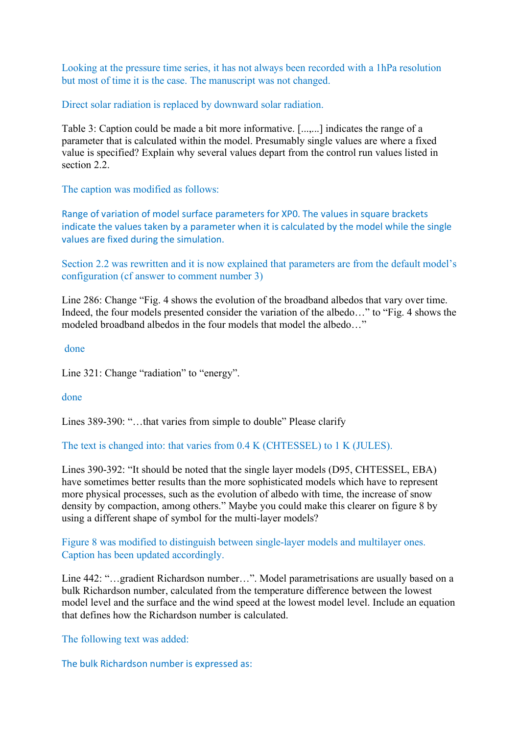Looking at the pressure time series, it has not always been recorded with a 1hPa resolution but most of time it is the case. The manuscript was not changed.

Direct solar radiation is replaced by downward solar radiation.

Table 3: Caption could be made a bit more informative. [...,...] indicates the range of a parameter that is calculated within the model. Presumably single values are where a fixed value is specified? Explain why several values depart from the control run values listed in section 2.2.

The caption was modified as follows:

Range of variation of model surface parameters for XP0. The values in square brackets indicate the values taken by a parameter when it is calculated by the model while the single values are fixed during the simulation.

Section 2.2 was rewritten and it is now explained that parameters are from the default model's configuration (cf answer to comment number 3)

Line 286: Change "Fig. 4 shows the evolution of the broadband albedos that vary over time. Indeed, the four models presented consider the variation of the albedo…" to "Fig. 4 shows the modeled broadband albedos in the four models that model the albedo "

done

Line 321: Change "radiation" to "energy".

done

Lines 389-390: "...that varies from simple to double" Please clarify

The text is changed into: that varies from 0.4 K (CHTESSEL) to 1 K (JULES).

Lines 390-392: "It should be noted that the single layer models (D95, CHTESSEL, EBA) have sometimes better results than the more sophisticated models which have to represent more physical processes, such as the evolution of albedo with time, the increase of snow density by compaction, among others." Maybe you could make this clearer on figure 8 by using a different shape of symbol for the multi-layer models?

Figure 8 was modified to distinguish between single-layer models and multilayer ones. Caption has been updated accordingly.

Line 442: "…gradient Richardson number…". Model parametrisations are usually based on a bulk Richardson number, calculated from the temperature difference between the lowest model level and the surface and the wind speed at the lowest model level. Include an equation that defines how the Richardson number is calculated.

The following text was added:

The bulk Richardson number is expressed as: